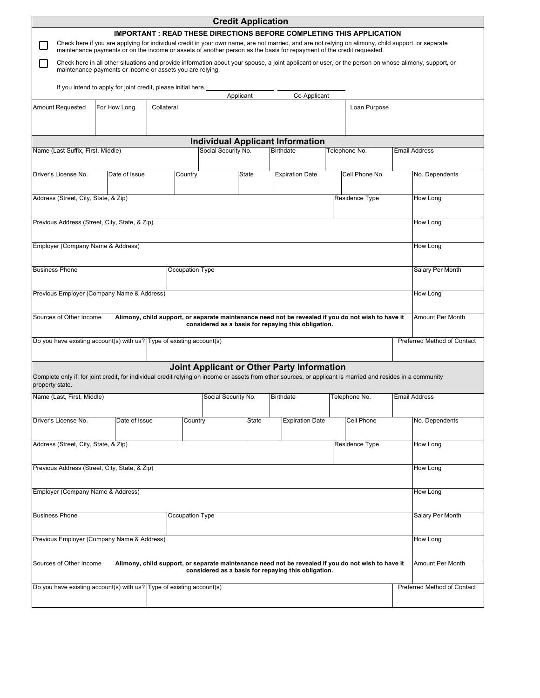|                                                                                                                                                                                 |                                                                                                                                                                                                                                                                             |            |                     | <b>Credit Application</b> |                  |                        |                                                                                                                                                           |                             |                      |                 |                             |
|---------------------------------------------------------------------------------------------------------------------------------------------------------------------------------|-----------------------------------------------------------------------------------------------------------------------------------------------------------------------------------------------------------------------------------------------------------------------------|------------|---------------------|---------------------------|------------------|------------------------|-----------------------------------------------------------------------------------------------------------------------------------------------------------|-----------------------------|----------------------|-----------------|-----------------------------|
|                                                                                                                                                                                 |                                                                                                                                                                                                                                                                             |            |                     |                           |                  |                        | <b>IMPORTANT: READ THESE DIRECTIONS BEFORE COMPLETING THIS APPLICATION</b>                                                                                |                             |                      |                 |                             |
|                                                                                                                                                                                 | Check here if you are applying for individual credit in your own name, are not married, and are not relying on alimony, child support, or separate<br>maintenance payments or on the income or assets of another person as the basis for repayment of the credit requested. |            |                     |                           |                  |                        |                                                                                                                                                           |                             |                      |                 |                             |
|                                                                                                                                                                                 | Check here in all other situations and provide information about your spouse, a joint applicant or user, or the person on whose alimony, support, or<br>maintenance payments or income or assets you are relying.                                                           |            |                     |                           |                  |                        |                                                                                                                                                           |                             |                      |                 |                             |
|                                                                                                                                                                                 | If you intend to apply for joint credit, please initial here.                                                                                                                                                                                                               |            |                     | Applicant                 |                  |                        | Co-Applicant                                                                                                                                              |                             |                      |                 |                             |
| <b>Amount Requested</b>                                                                                                                                                         | For How Long                                                                                                                                                                                                                                                                | Collateral |                     |                           |                  |                        |                                                                                                                                                           |                             | Loan Purpose         |                 |                             |
|                                                                                                                                                                                 |                                                                                                                                                                                                                                                                             |            |                     |                           |                  |                        |                                                                                                                                                           |                             |                      |                 |                             |
|                                                                                                                                                                                 |                                                                                                                                                                                                                                                                             |            |                     |                           |                  |                        | <b>Individual Applicant Information</b>                                                                                                                   |                             |                      |                 |                             |
| Name (Last Suffix, First, Middle)                                                                                                                                               |                                                                                                                                                                                                                                                                             |            |                     | Social Security No.       |                  |                        | Birthdate                                                                                                                                                 |                             | Telephone No.        |                 | <b>Email Address</b>        |
| Driver's License No.                                                                                                                                                            | Date of Issue                                                                                                                                                                                                                                                               |            | Country             |                           | <b>State</b>     |                        | <b>Expiration Date</b>                                                                                                                                    |                             | Cell Phone No.       |                 | No. Dependents              |
| Address (Street, City, State, & Zip)                                                                                                                                            |                                                                                                                                                                                                                                                                             |            |                     |                           |                  |                        |                                                                                                                                                           |                             | Residence Type       |                 | <b>How Long</b>             |
| Previous Address (Street, City, State, & Zip)                                                                                                                                   |                                                                                                                                                                                                                                                                             |            |                     |                           |                  |                        |                                                                                                                                                           |                             |                      |                 | How Long                    |
| Employer (Company Name & Address)                                                                                                                                               |                                                                                                                                                                                                                                                                             |            |                     |                           |                  |                        |                                                                                                                                                           |                             | How Long             |                 |                             |
| <b>Business Phone</b>                                                                                                                                                           |                                                                                                                                                                                                                                                                             |            | Occupation Type     |                           |                  |                        |                                                                                                                                                           |                             |                      |                 | Salary Per Month            |
| Previous Employer (Company Name & Address)                                                                                                                                      |                                                                                                                                                                                                                                                                             |            |                     |                           |                  |                        |                                                                                                                                                           |                             |                      | How Long        |                             |
| Sources of Other Income                                                                                                                                                         |                                                                                                                                                                                                                                                                             |            |                     |                           |                  |                        | Alimony, child support, or separate maintenance need not be revealed if you do not wish to have it<br>considered as a basis for repaying this obligation. |                             |                      |                 | Amount Per Month            |
| Do you have existing account(s) with us? Type of existing account(s)                                                                                                            |                                                                                                                                                                                                                                                                             |            |                     |                           |                  |                        |                                                                                                                                                           |                             |                      |                 | Preferred Method of Contact |
| Complete only if: for joint credit, for individual credit relying on income or assets from other sources, or applicant is married and resides in a community<br>property state. |                                                                                                                                                                                                                                                                             |            |                     |                           |                  |                        | <b>Joint Applicant or Other Party Information</b>                                                                                                         |                             |                      |                 |                             |
| Name (Last, First, Middle)                                                                                                                                                      |                                                                                                                                                                                                                                                                             |            | Social Security No. |                           | <b>Birthdate</b> |                        | Telephone No.                                                                                                                                             |                             | <b>Email Address</b> |                 |                             |
| Driver's License No.                                                                                                                                                            | Date of Issue                                                                                                                                                                                                                                                               |            | Country             |                           | State            | <b>Expiration Date</b> |                                                                                                                                                           | Cell Phone                  |                      | No. Dependents  |                             |
| Address (Street, City, State, & Zip)<br>Residence Type                                                                                                                          |                                                                                                                                                                                                                                                                             |            |                     |                           |                  |                        |                                                                                                                                                           |                             |                      | How Long        |                             |
| Previous Address (Street, City, State, & Zip)                                                                                                                                   |                                                                                                                                                                                                                                                                             |            |                     |                           |                  |                        |                                                                                                                                                           |                             |                      | <b>How Long</b> |                             |
| Employer (Company Name & Address)                                                                                                                                               |                                                                                                                                                                                                                                                                             |            |                     |                           |                  |                        |                                                                                                                                                           | How Long                    |                      |                 |                             |
| <b>Business Phone</b>                                                                                                                                                           |                                                                                                                                                                                                                                                                             |            | Occupation Type     |                           |                  |                        |                                                                                                                                                           |                             |                      |                 | Salary Per Month            |
| Previous Employer (Company Name & Address)                                                                                                                                      |                                                                                                                                                                                                                                                                             |            |                     |                           |                  |                        |                                                                                                                                                           |                             |                      |                 | How Long                    |
| Sources of Other Income                                                                                                                                                         |                                                                                                                                                                                                                                                                             |            |                     |                           |                  |                        | Alimony, child support, or separate maintenance need not be revealed if you do not wish to have it<br>considered as a basis for repaying this obligation. |                             |                      |                 | Amount Per Month            |
| Do you have existing account(s) with us? Type of existing account(s)                                                                                                            |                                                                                                                                                                                                                                                                             |            |                     |                           |                  |                        |                                                                                                                                                           | Preferred Method of Contact |                      |                 |                             |
|                                                                                                                                                                                 |                                                                                                                                                                                                                                                                             |            |                     |                           |                  |                        |                                                                                                                                                           |                             |                      |                 |                             |